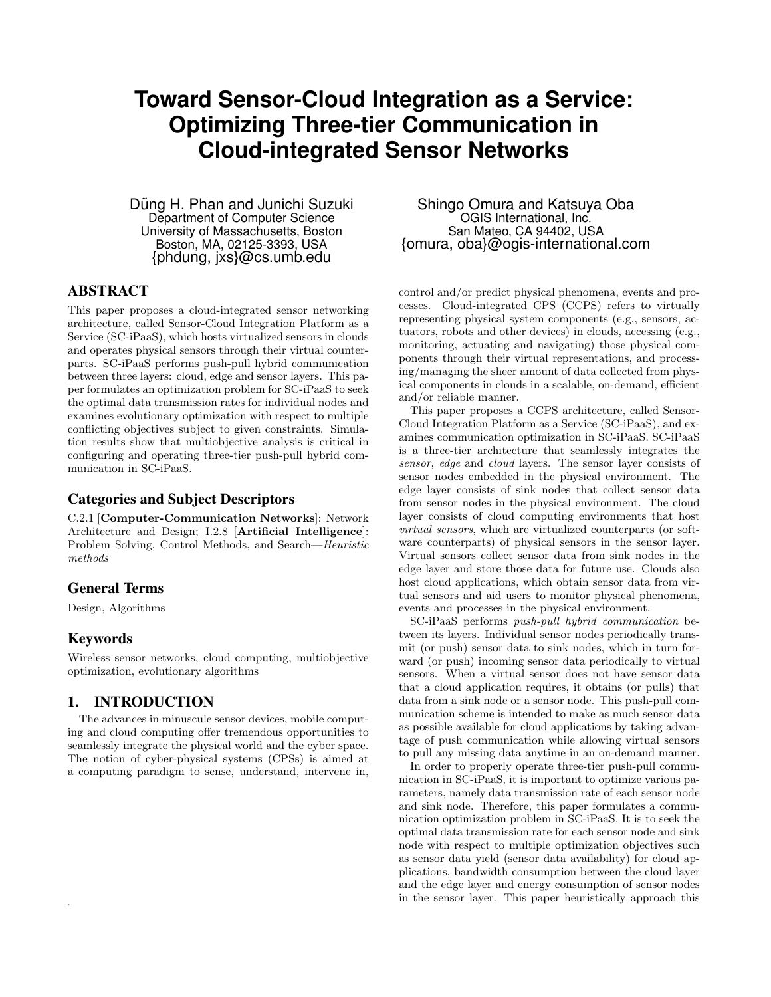# **Toward Sensor-Cloud Integration as a Service: Optimizing Three-tier Communication in Cloud-integrated Sensor Networks**

Dũng H. Phan and Junichi Suzuki Department of Computer Science University of Massachusetts, Boston Boston, MA, 02125-3393, USA {phdung, jxs}@cs.umb.edu

## ABSTRACT

This paper proposes a cloud-integrated sensor networking architecture, called Sensor-Cloud Integration Platform as a Service (SC-iPaaS), which hosts virtualized sensors in clouds and operates physical sensors through their virtual counterparts. SC-iPaaS performs push-pull hybrid communication between three layers: cloud, edge and sensor layers. This paper formulates an optimization problem for SC-iPaaS to seek the optimal data transmission rates for individual nodes and examines evolutionary optimization with respect to multiple conflicting objectives subject to given constraints. Simulation results show that multiobjective analysis is critical in configuring and operating three-tier push-pull hybrid communication in SC-iPaaS.

## Categories and Subject Descriptors

C.2.1 [Computer-Communication Networks]: Network Architecture and Design; I.2.8 [Artificial Intelligence]: Problem Solving, Control Methods, and Search—Heuristic methods

## General Terms

Design, Algorithms

## Keywords

.

Wireless sensor networks, cloud computing, multiobjective optimization, evolutionary algorithms

## 1. INTRODUCTION

The advances in minuscule sensor devices, mobile computing and cloud computing offer tremendous opportunities to seamlessly integrate the physical world and the cyber space. The notion of cyber-physical systems (CPSs) is aimed at a computing paradigm to sense, understand, intervene in,

Shingo Omura and Katsuya Oba OGIS International, Inc. San Mateo, CA 94402, USA {omura, oba}@ogis-international.com

control and/or predict physical phenomena, events and processes. Cloud-integrated CPS (CCPS) refers to virtually representing physical system components (e.g., sensors, actuators, robots and other devices) in clouds, accessing (e.g., monitoring, actuating and navigating) those physical components through their virtual representations, and processing/managing the sheer amount of data collected from physical components in clouds in a scalable, on-demand, efficient and/or reliable manner.

This paper proposes a CCPS architecture, called Sensor-Cloud Integration Platform as a Service (SC-iPaaS), and examines communication optimization in SC-iPaaS. SC-iPaaS is a three-tier architecture that seamlessly integrates the sensor, edge and cloud layers. The sensor layer consists of sensor nodes embedded in the physical environment. The edge layer consists of sink nodes that collect sensor data from sensor nodes in the physical environment. The cloud layer consists of cloud computing environments that host virtual sensors, which are virtualized counterparts (or software counterparts) of physical sensors in the sensor layer. Virtual sensors collect sensor data from sink nodes in the edge layer and store those data for future use. Clouds also host cloud applications, which obtain sensor data from virtual sensors and aid users to monitor physical phenomena, events and processes in the physical environment.

SC-iPaaS performs push-pull hybrid communication between its layers. Individual sensor nodes periodically transmit (or push) sensor data to sink nodes, which in turn forward (or push) incoming sensor data periodically to virtual sensors. When a virtual sensor does not have sensor data that a cloud application requires, it obtains (or pulls) that data from a sink node or a sensor node. This push-pull communication scheme is intended to make as much sensor data as possible available for cloud applications by taking advantage of push communication while allowing virtual sensors to pull any missing data anytime in an on-demand manner.

In order to properly operate three-tier push-pull communication in SC-iPaaS, it is important to optimize various parameters, namely data transmission rate of each sensor node and sink node. Therefore, this paper formulates a communication optimization problem in SC-iPaaS. It is to seek the optimal data transmission rate for each sensor node and sink node with respect to multiple optimization objectives such as sensor data yield (sensor data availability) for cloud applications, bandwidth consumption between the cloud layer and the edge layer and energy consumption of sensor nodes in the sensor layer. This paper heuristically approach this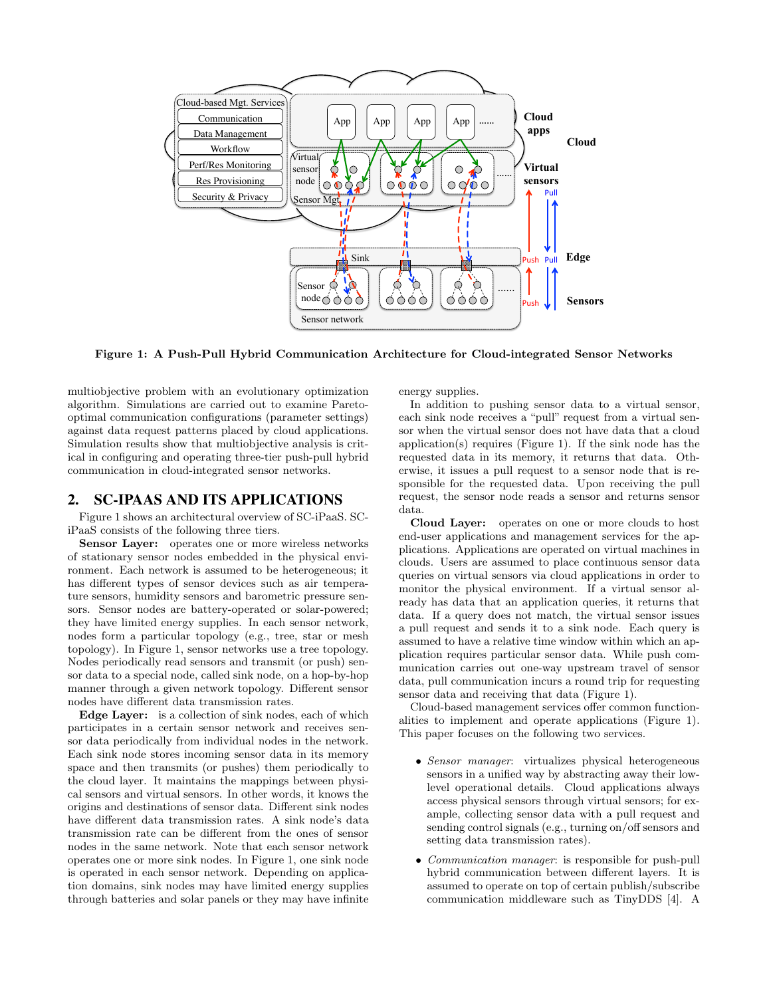

Figure 1: A Push-Pull Hybrid Communication Architecture for Cloud-integrated Sensor Networks

multiobjective problem with an evolutionary optimization algorithm. Simulations are carried out to examine Paretooptimal communication configurations (parameter settings) against data request patterns placed by cloud applications. Simulation results show that multiobjective analysis is critical in configuring and operating three-tier push-pull hybrid communication in cloud-integrated sensor networks.

## 2. SC-IPAAS AND ITS APPLICATIONS

Figure 1 shows an architectural overview of SC-iPaaS. SCiPaaS consists of the following three tiers.

Sensor Layer: operates one or more wireless networks of stationary sensor nodes embedded in the physical environment. Each network is assumed to be heterogeneous; it has different types of sensor devices such as air temperature sensors, humidity sensors and barometric pressure sensors. Sensor nodes are battery-operated or solar-powered; they have limited energy supplies. In each sensor network, nodes form a particular topology (e.g., tree, star or mesh topology). In Figure 1, sensor networks use a tree topology. Nodes periodically read sensors and transmit (or push) sensor data to a special node, called sink node, on a hop-by-hop manner through a given network topology. Different sensor nodes have different data transmission rates.

Edge Layer: is a collection of sink nodes, each of which participates in a certain sensor network and receives sensor data periodically from individual nodes in the network. Each sink node stores incoming sensor data in its memory space and then transmits (or pushes) them periodically to the cloud layer. It maintains the mappings between physical sensors and virtual sensors. In other words, it knows the origins and destinations of sensor data. Different sink nodes have different data transmission rates. A sink node's data transmission rate can be different from the ones of sensor nodes in the same network. Note that each sensor network operates one or more sink nodes. In Figure 1, one sink node is operated in each sensor network. Depending on application domains, sink nodes may have limited energy supplies through batteries and solar panels or they may have infinite

energy supplies.

In addition to pushing sensor data to a virtual sensor, each sink node receives a "pull" request from a virtual sensor when the virtual sensor does not have data that a cloud application(s) requires (Figure 1). If the sink node has the requested data in its memory, it returns that data. Otherwise, it issues a pull request to a sensor node that is responsible for the requested data. Upon receiving the pull request, the sensor node reads a sensor and returns sensor data.

Cloud Layer: operates on one or more clouds to host end-user applications and management services for the applications. Applications are operated on virtual machines in clouds. Users are assumed to place continuous sensor data queries on virtual sensors via cloud applications in order to monitor the physical environment. If a virtual sensor already has data that an application queries, it returns that data. If a query does not match, the virtual sensor issues a pull request and sends it to a sink node. Each query is assumed to have a relative time window within which an application requires particular sensor data. While push communication carries out one-way upstream travel of sensor data, pull communication incurs a round trip for requesting sensor data and receiving that data (Figure 1).

Cloud-based management services offer common functionalities to implement and operate applications (Figure 1). This paper focuses on the following two services.

- Sensor manager: virtualizes physical heterogeneous sensors in a unified way by abstracting away their lowlevel operational details. Cloud applications always access physical sensors through virtual sensors; for example, collecting sensor data with a pull request and sending control signals (e.g., turning on/off sensors and setting data transmission rates).
- *Communication manager*: is responsible for push-pull hybrid communication between different layers. It is assumed to operate on top of certain publish/subscribe communication middleware such as TinyDDS [4]. A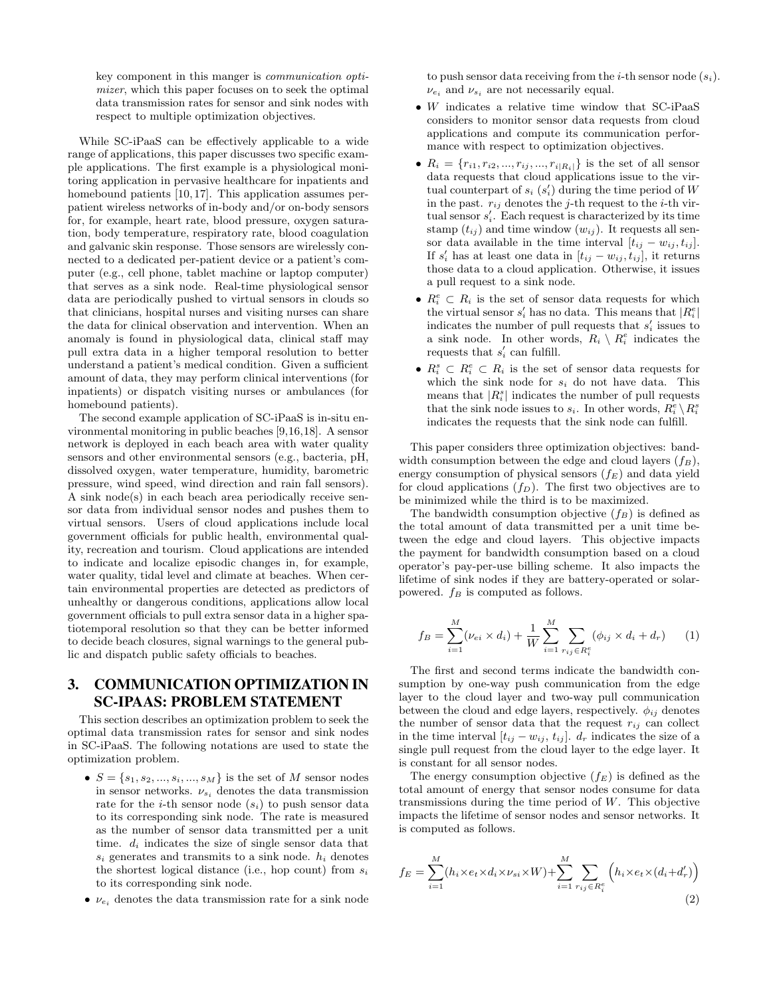key component in this manger is communication optimizer, which this paper focuses on to seek the optimal data transmission rates for sensor and sink nodes with respect to multiple optimization objectives.

While SC-iPaaS can be effectively applicable to a wide range of applications, this paper discusses two specific example applications. The first example is a physiological monitoring application in pervasive healthcare for inpatients and homebound patients [10, 17]. This application assumes perpatient wireless networks of in-body and/or on-body sensors for, for example, heart rate, blood pressure, oxygen saturation, body temperature, respiratory rate, blood coagulation and galvanic skin response. Those sensors are wirelessly connected to a dedicated per-patient device or a patient's computer (e.g., cell phone, tablet machine or laptop computer) that serves as a sink node. Real-time physiological sensor data are periodically pushed to virtual sensors in clouds so that clinicians, hospital nurses and visiting nurses can share the data for clinical observation and intervention. When an anomaly is found in physiological data, clinical staff may pull extra data in a higher temporal resolution to better understand a patient's medical condition. Given a sufficient amount of data, they may perform clinical interventions (for inpatients) or dispatch visiting nurses or ambulances (for homebound patients).

The second example application of SC-iPaaS is in-situ environmental monitoring in public beaches [9,16,18]. A sensor network is deployed in each beach area with water quality sensors and other environmental sensors (e.g., bacteria, pH, dissolved oxygen, water temperature, humidity, barometric pressure, wind speed, wind direction and rain fall sensors). A sink node(s) in each beach area periodically receive sensor data from individual sensor nodes and pushes them to virtual sensors. Users of cloud applications include local government officials for public health, environmental quality, recreation and tourism. Cloud applications are intended to indicate and localize episodic changes in, for example, water quality, tidal level and climate at beaches. When certain environmental properties are detected as predictors of unhealthy or dangerous conditions, applications allow local government officials to pull extra sensor data in a higher spatiotemporal resolution so that they can be better informed to decide beach closures, signal warnings to the general public and dispatch public safety officials to beaches.

## 3. COMMUNICATION OPTIMIZATION IN SC-IPAAS: PROBLEM STATEMENT

This section describes an optimization problem to seek the optimal data transmission rates for sensor and sink nodes in SC-iPaaS. The following notations are used to state the optimization problem.

- $S = \{s_1, s_2, ..., s_i, ..., s_M\}$  is the set of M sensor nodes in sensor networks.  $\nu_{s_i}$  denotes the data transmission rate for the *i*-th sensor node  $(s_i)$  to push sensor data to its corresponding sink node. The rate is measured as the number of sensor data transmitted per a unit time.  $d_i$  indicates the size of single sensor data that  $s_i$  generates and transmits to a sink node.  $h_i$  denotes the shortest logical distance (i.e., hop count) from  $s_i$ to its corresponding sink node.
- $\nu_{e_i}$  denotes the data transmission rate for a sink node

to push sensor data receiving from the *i*-th sensor node  $(s_i)$ .  $\nu_{e_i}$  and  $\nu_{s_i}$  are not necessarily equal.

- W indicates a relative time window that  $SC$ -iPaaS considers to monitor sensor data requests from cloud applications and compute its communication performance with respect to optimization objectives.
- $R_i = \{r_{i1}, r_{i2}, ..., r_{ij}, ..., r_{i|R_i|}\}\$ is the set of all sensor data requests that cloud applications issue to the virtual counterpart of  $s_i$   $(s'_i)$  during the time period of W in the past.  $r_{ij}$  denotes the *j*-th request to the *i*-th virtual sensor  $s_i'$ . Each request is characterized by its time stamp  $(t_{ij})$  and time window  $(w_{ij})$ . It requests all sensor data available in the time interval  $[t_{ij} - w_{ij}, t_{ij}]$ . If  $s'_{i}$  has at least one data in  $[t_{ij} - w_{ij}, t_{ij}]$ , it returns those data to a cloud application. Otherwise, it issues a pull request to a sink node.
- $R_i^e \subset R_i$  is the set of sensor data requests for which the virtual sensor  $s'_i$  has no data. This means that  $|R_i^e|$ indicates the number of pull requests that  $s_i'$  issues to a sink node. In other words,  $R_i \setminus R_i^e$  indicates the requests that  $s_i'$  can fulfill.
- $R_i^s \subset R_i^e \subset R_i$  is the set of sensor data requests for which the sink node for  $s_i$  do not have data. This means that  $|R_i^s|$  indicates the number of pull requests that the sink node issues to  $s_i$ . In other words,  $R_i^e \setminus R_i^s$ indicates the requests that the sink node can fulfill.

This paper considers three optimization objectives: bandwidth consumption between the edge and cloud layers  $(f_B)$ , energy consumption of physical sensors  $(f_E)$  and data yield for cloud applications  $(f_D)$ . The first two objectives are to be minimized while the third is to be maximized.

The bandwidth consumption objective  $(f_B)$  is defined as the total amount of data transmitted per a unit time between the edge and cloud layers. This objective impacts the payment for bandwidth consumption based on a cloud operator's pay-per-use billing scheme. It also impacts the lifetime of sink nodes if they are battery-operated or solarpowered.  $f_B$  is computed as follows.

$$
f_B = \sum_{i=1}^{M} (\nu_{ei} \times d_i) + \frac{1}{W} \sum_{i=1}^{M} \sum_{r_{ij} \in R_i^e} (\phi_{ij} \times d_i + d_r)
$$
 (1)

The first and second terms indicate the bandwidth consumption by one-way push communication from the edge layer to the cloud layer and two-way pull communication between the cloud and edge layers, respectively.  $\phi_{ij}$  denotes the number of sensor data that the request  $r_{ij}$  can collect in the time interval  $[t_{ij} - w_{ij}, t_{ij}]$ .  $d_r$  indicates the size of a single pull request from the cloud layer to the edge layer. It is constant for all sensor nodes.

The energy consumption objective  $(f_E)$  is defined as the total amount of energy that sensor nodes consume for data transmissions during the time period of  $W$ . This objective impacts the lifetime of sensor nodes and sensor networks. It is computed as follows.

$$
f_E = \sum_{i=1}^{M} (h_i \times e_t \times d_i \times \nu_{si} \times W) + \sum_{i=1}^{M} \sum_{r_{ij} \in R_i^e} \left( h_i \times e_t \times (d_i + d'_r) \right)
$$
\n(2)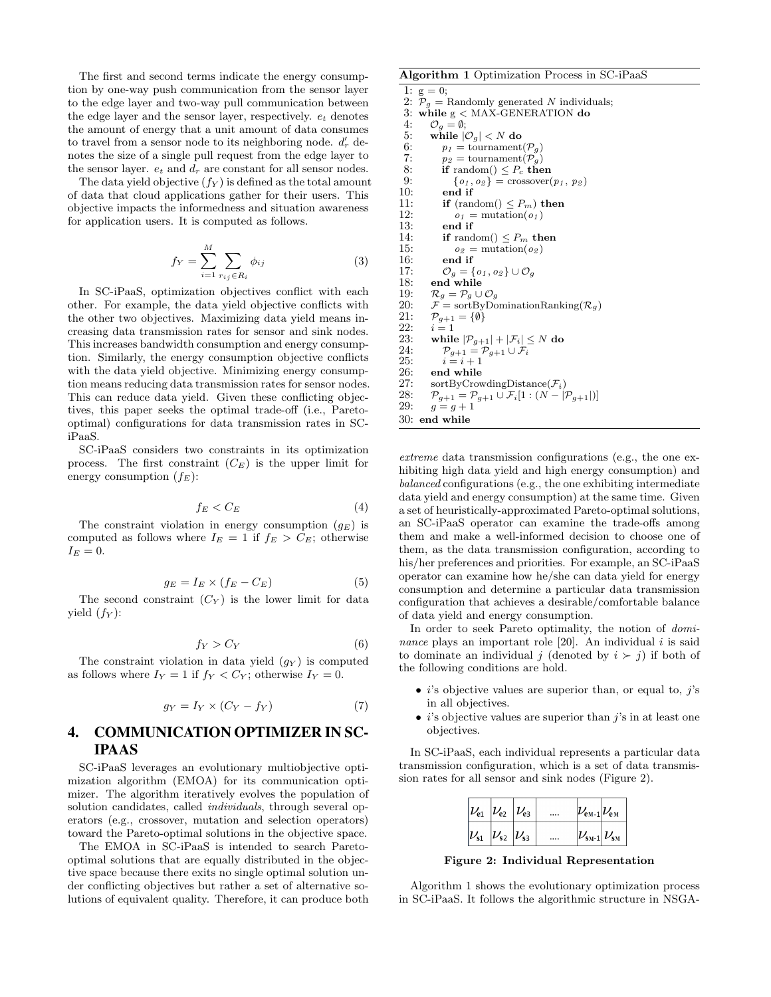The first and second terms indicate the energy consumption by one-way push communication from the sensor layer to the edge layer and two-way pull communication between the edge layer and the sensor layer, respectively.  $e_t$  denotes the amount of energy that a unit amount of data consumes to travel from a sensor node to its neighboring node.  $d'_r$  denotes the size of a single pull request from the edge layer to the sensor layer.  $e_t$  and  $d_r$  are constant for all sensor nodes.

The data yield objective  $(f_Y)$  is defined as the total amount of data that cloud applications gather for their users. This objective impacts the informedness and situation awareness for application users. It is computed as follows.

$$
f_Y = \sum_{i=1}^{M} \sum_{r_{ij} \in R_i} \phi_{ij} \tag{3}
$$

In SC-iPaaS, optimization objectives conflict with each other. For example, the data yield objective conflicts with the other two objectives. Maximizing data yield means increasing data transmission rates for sensor and sink nodes. This increases bandwidth consumption and energy consumption. Similarly, the energy consumption objective conflicts with the data yield objective. Minimizing energy consumption means reducing data transmission rates for sensor nodes. This can reduce data yield. Given these conflicting objectives, this paper seeks the optimal trade-off (i.e., Paretooptimal) configurations for data transmission rates in SCiPaaS.

SC-iPaaS considers two constraints in its optimization process. The first constraint  $(C_E)$  is the upper limit for energy consumption  $(f_E)$ :

$$
f_E < C_E \tag{4}
$$

The constraint violation in energy consumption  $(g_E)$  is computed as follows where  $I_E = 1$  if  $f_E > C_E$ ; otherwise  $I_E = 0.$ 

$$
g_E = I_E \times (f_E - C_E) \tag{5}
$$

The second constraint  $(C_Y)$  is the lower limit for data yield  $(f_Y)$ :

$$
f_Y > C_Y \tag{6}
$$

The constraint violation in data yield  $(g_Y)$  is computed as follows where  $I_Y = 1$  if  $f_Y < C_Y$ ; otherwise  $I_Y = 0$ .

$$
g_Y = I_Y \times (C_Y - f_Y) \tag{7}
$$

## 4. COMMUNICATION OPTIMIZER IN SC-IPAAS

SC-iPaaS leverages an evolutionary multiobjective optimization algorithm (EMOA) for its communication optimizer. The algorithm iteratively evolves the population of solution candidates, called *individuals*, through several operators (e.g., crossover, mutation and selection operators) toward the Pareto-optimal solutions in the objective space.

The EMOA in SC-iPaaS is intended to search Paretooptimal solutions that are equally distributed in the objective space because there exits no single optimal solution under conflicting objectives but rather a set of alternative solutions of equivalent quality. Therefore, it can produce both

#### Algorithm 1 Optimization Process in SC-iPaaS

1:  $g = 0$ ; 2:  $P_g$  = Randomly generated N individuals;<br>3: while  $g \lt MAX-GENERATION$  do 3: while  $g <$  MAX-GENERATION do 4:  $Q = \emptyset$ : 4:  $\mathcal{O}_g = \emptyset;$ <br>5: while  $\emptyset$ 5: while  $|\mathcal{O}_g| < N$  do<br>6:  $p_t =$  tournament 6:  $p_1 = \text{tournament}(\mathcal{P}_g)$ <br>7:  $p_2 = \text{tournament}(\mathcal{P}_g)$ 7:  $p_2 = \text{tournament}(\mathcal{P}_g)$ <br>8: **if** random() <  $P_c$  **ti** 8: **if** random()  $\leq P_c$  **then**<br>9:  $\{q_1, q_2\}$  = crossover( 9:  $\{o_1, o_2\}$  = crossover $(p_1, p_2)$ <br>10: **end if** 10: end if<br>11: if  $(ran)$ 11: **if** (random()  $\leq P_m$ ) then<br>12:  $o_t$  = mutation( $o_t$ ) 12:  $o_1$  = mutation( $o_1$ )<br>13: **end if** end if 14: **if** random()  $\leq P_m$  **then**<br>15:  $o_2$  = mutation( $o_2$ ) 15:  $o_2$  = mutation( $o_2$ )<br>16: **end if** end if 17:  $\mathcal{O}_g = \{o_1, o_2\} \cup \mathcal{O}_g$ <br>18: **end while** end while 19:  $\mathcal{R}_g = \mathcal{P}_g \cup \mathcal{O}_g$ <br>20:  $\mathcal{F} = \text{sortByDo}$ 20:  $\mathcal{F} = \text{sortByDomainationRanking}(\mathcal{R}_g)$ <br>21:  $\mathcal{P}_{g+1} = \{\emptyset\}$  $\mathcal{P}_{g+1} = \{\emptyset\}$ 22:  $i = 1$ <br>23: while 23: while  $|\mathcal{P}_{g+1}| + |\mathcal{F}_i| \leq N$  do<br>24:  $\mathcal{P}_{g+1} = \mathcal{P}_{g+1} \cup \mathcal{F}_i$ 24:  $\mathcal{P}_{g+1} = \mathcal{P}_{g+1} \cup \mathcal{F}_i$ <br>25:  $i = i + 1$ 25:  $i = i + 1$ <br>26: end while 26: end while<br>  $27 \cdot \quad \text{sortBvCrow}$ 27: sortByCrowdingDistance( $\mathcal{F}_i$ )<br>28:  $\mathcal{P}_{a+1} = \mathcal{P}_{a+1} \cup \mathcal{F}_i[1:(N-1)]$ 28:  $\mathcal{P}_{g+1} = \mathcal{P}_{g+1} \cup \mathcal{F}_i[1:(N - |\mathcal{P}_{g+1}|)]$ <br>29:  $g = g + 1$  $g=g+1$ 30: end while

extreme data transmission configurations (e.g., the one exhibiting high data yield and high energy consumption) and balanced configurations (e.g., the one exhibiting intermediate data yield and energy consumption) at the same time. Given a set of heuristically-approximated Pareto-optimal solutions, an SC-iPaaS operator can examine the trade-offs among them and make a well-informed decision to choose one of them, as the data transmission configuration, according to his/her preferences and priorities. For example, an SC-iPaaS operator can examine how he/she can data yield for energy consumption and determine a particular data transmission configuration that achieves a desirable/comfortable balance of data yield and energy consumption.

In order to seek Pareto optimality, the notion of *domi*nance plays an important role [20]. An individual  $i$  is said to dominate an individual j (denoted by  $i \succ j$ ) if both of the following conditions are hold.

- $\bullet$  *i*'s objective values are superior than, or equal to, *j*'s in all objectives.
- *i*'s objective values are superior than  $j$ 's in at least one objectives.

In SC-iPaaS, each individual represents a particular data transmission configuration, which is a set of data transmission rates for all sensor and sink nodes (Figure 2).

| $ \nu_{\rm e1} \nu_{\rm e2} \nu_{\rm e3} $ |                       |  | $ \nu_{\rm em\text{-}1} \nu_{\rm em} $                                    |  |
|--------------------------------------------|-----------------------|--|---------------------------------------------------------------------------|--|
| $ \nu_{\scriptscriptstyle{\text{S1}}}$     | $ \nu_{s2} \nu_{s3} $ |  | $ \nu_{\scriptscriptstyle\rm SM\text{-}1} \nu_{\scriptscriptstyle\rm SM}$ |  |

Figure 2: Individual Representation

Algorithm 1 shows the evolutionary optimization process in SC-iPaaS. It follows the algorithmic structure in NSGA-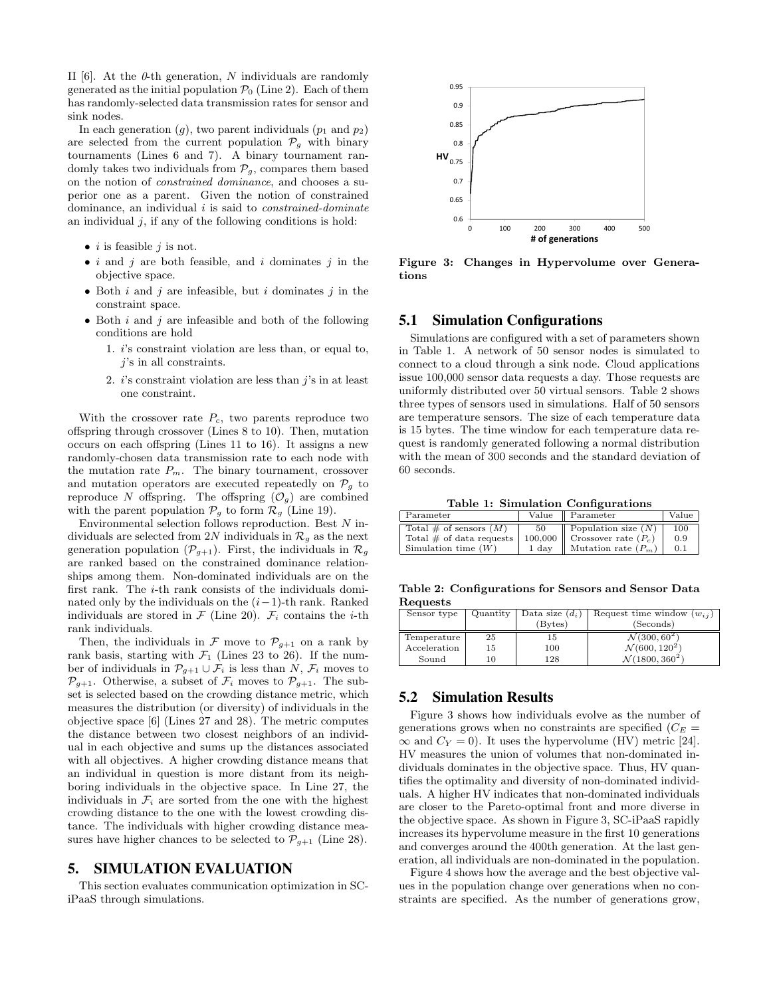II [6]. At the  $\theta$ -th generation, N individuals are randomly generated as the initial population  $P_0$  (Line 2). Each of them has randomly-selected data transmission rates for sensor and sink nodes.

In each generation  $(g)$ , two parent individuals  $(p_1 \text{ and } p_2)$ are selected from the current population  $\mathcal{P}_g$  with binary tournaments (Lines 6 and 7). A binary tournament randomly takes two individuals from  $P<sub>g</sub>$ , compares them based on the notion of constrained dominance, and chooses a superior one as a parent. Given the notion of constrained dominance, an individual  $i$  is said to *constrained-dominate* an individual  $j$ , if any of the following conditions is hold:

- *i* is feasible  $j$  is not.
- i and j are both feasible, and i dominates j in the objective space.
- Both  $i$  and  $j$  are infeasible, but  $i$  dominates  $j$  in the constraint space.
- Both  $i$  and  $j$  are infeasible and both of the following conditions are hold
	- 1. i's constraint violation are less than, or equal to,  $j$ 's in all constraints.
	- 2.  $i$ 's constraint violation are less than  $j$ 's in at least one constraint.

With the crossover rate  $P_c$ , two parents reproduce two offspring through crossover (Lines 8 to 10). Then, mutation occurs on each offspring (Lines 11 to 16). It assigns a new randomly-chosen data transmission rate to each node with the mutation rate  $P_m$ . The binary tournament, crossover and mutation operators are executed repeatedly on  $\mathcal{P}_g$  to reproduce N offspring. The offspring  $(\mathcal{O}_g)$  are combined with the parent population  $\mathcal{P}_g$  to form  $\mathcal{R}_g$  (Line 19).

Environmental selection follows reproduction. Best  $N$  individuals are selected from 2N individuals in  $\mathcal{R}_g$  as the next generation population  $(\mathcal{P}_{g+1})$ . First, the individuals in  $\mathcal{R}_g$ are ranked based on the constrained dominance relationships among them. Non-dominated individuals are on the first rank. The i-th rank consists of the individuals dominated only by the individuals on the  $(i-1)$ -th rank. Ranked individuals are stored in  $\mathcal F$  (Line 20).  $\mathcal F_i$  contains the *i*-th rank individuals.

Then, the individuals in  $\mathcal F$  move to  $\mathcal P_{g+1}$  on a rank by rank basis, starting with  $\mathcal{F}_1$  (Lines 23 to 26). If the number of individuals in  $\mathcal{P}_{g+1} \cup \mathcal{F}_i$  is less than N,  $\mathcal{F}_i$  moves to  $\mathcal{P}_{g+1}$ . Otherwise, a subset of  $\mathcal{F}_i$  moves to  $\mathcal{P}_{g+1}$ . The subset is selected based on the crowding distance metric, which measures the distribution (or diversity) of individuals in the objective space [6] (Lines 27 and 28). The metric computes the distance between two closest neighbors of an individual in each objective and sums up the distances associated with all objectives. A higher crowding distance means that an individual in question is more distant from its neighboring individuals in the objective space. In Line 27, the individuals in  $\mathcal{F}_i$  are sorted from the one with the highest crowding distance to the one with the lowest crowding distance. The individuals with higher crowding distance measures have higher chances to be selected to  $\mathcal{P}_{q+1}$  (Line 28).

## 5. SIMULATION EVALUATION

This section evaluates communication optimization in SCiPaaS through simulations.



Figure 3: Changes in Hypervolume over Generations

## 5.1 Simulation Configurations

Simulations are configured with a set of parameters shown in Table 1. A network of 50 sensor nodes is simulated to connect to a cloud through a sink node. Cloud applications issue 100,000 sensor data requests a day. Those requests are uniformly distributed over 50 virtual sensors. Table 2 shows three types of sensors used in simulations. Half of 50 sensors are temperature sensors. The size of each temperature data is 15 bytes. The time window for each temperature data request is randomly generated following a normal distribution with the mean of 300 seconds and the standard deviation of 60 seconds.

Table 1: Simulation Configurations

| Parameter                   |       | Value    Parameter             | Value |
|-----------------------------|-------|--------------------------------|-------|
| Total # of sensors $(M)$    | - 50  | $\Box$ Population size $(N)$   | 100   |
| Total $\#$ of data requests |       | 100,000 Crossover rate $(P_c)$ | 0.9   |
| Simulation time $(W)$       | 1 day | Mutation rate $(P_m)$          | 0.1   |

Table 2: Configurations for Sensors and Sensor Data Requests

| Sensor type  |    | Quantity   Data size $(d_i)$<br>(Bvtes) | Request time window $(w_{ij})$<br>(Seconds) |
|--------------|----|-----------------------------------------|---------------------------------------------|
| Temperature  | 25 | 15                                      | $\mathcal{N}(300, 60^2)$                    |
| Acceleration | 15 | 100                                     | $\mathcal{N}(600, 120^2)$                   |
| Sound        | 10 | 128                                     | $\mathcal{N}(1800, 360^2)$                  |

#### 5.2 Simulation Results

Figure 3 shows how individuals evolve as the number of generations grows when no constraints are specified  $(C_E =$  $\infty$  and  $C_Y = 0$ ). It uses the hypervolume (HV) metric [24]. HV measures the union of volumes that non-dominated individuals dominates in the objective space. Thus, HV quantifies the optimality and diversity of non-dominated individuals. A higher HV indicates that non-dominated individuals are closer to the Pareto-optimal front and more diverse in the objective space. As shown in Figure 3, SC-iPaaS rapidly increases its hypervolume measure in the first 10 generations and converges around the 400th generation. At the last generation, all individuals are non-dominated in the population.

Figure 4 shows how the average and the best objective values in the population change over generations when no constraints are specified. As the number of generations grow,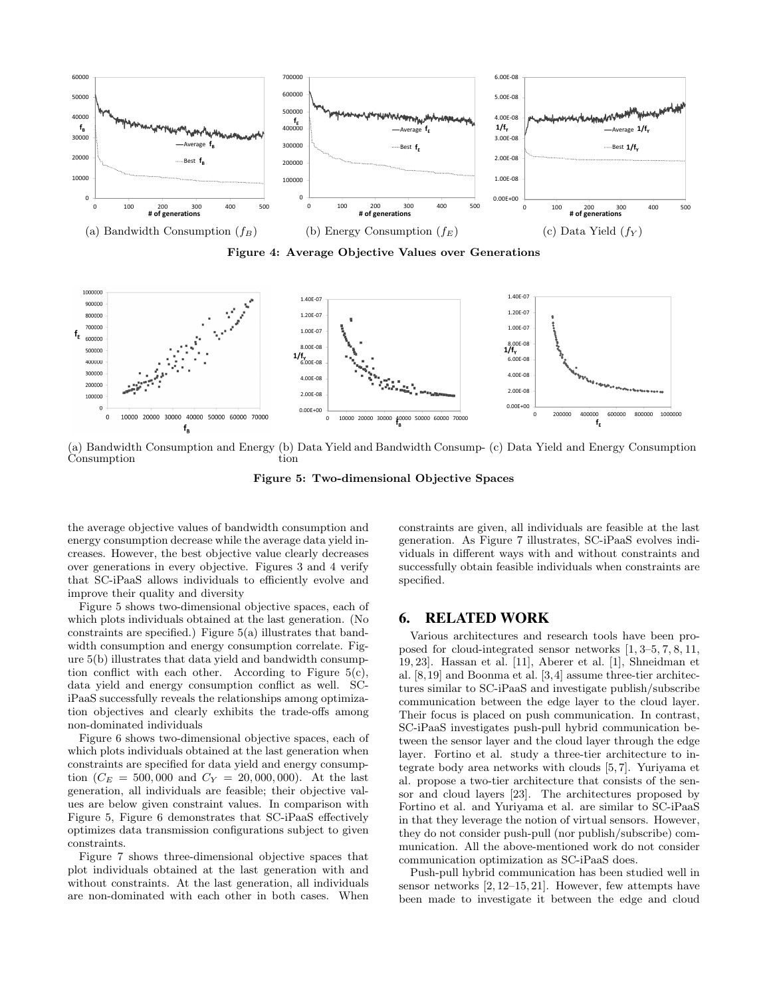

Figure 4: Average Objective Values over Generations



(a) Bandwidth Consumption and Energy (b) Data Yield and Bandwidth Consump-(c) Data Yield and Energy Consumption Consumption tion

Figure 5: Two-dimensional Objective Spaces

the average objective values of bandwidth consumption and energy consumption decrease while the average data yield increases. However, the best objective value clearly decreases over generations in every objective. Figures 3 and 4 verify that SC-iPaaS allows individuals to efficiently evolve and improve their quality and diversity

Figure 5 shows two-dimensional objective spaces, each of which plots individuals obtained at the last generation. (No constraints are specified.) Figure 5(a) illustrates that bandwidth consumption and energy consumption correlate. Figure 5(b) illustrates that data yield and bandwidth consumption conflict with each other. According to Figure 5(c), data yield and energy consumption conflict as well. SCiPaaS successfully reveals the relationships among optimization objectives and clearly exhibits the trade-offs among non-dominated individuals

Figure 6 shows two-dimensional objective spaces, each of which plots individuals obtained at the last generation when constraints are specified for data yield and energy consumption  $(C_E = 500,000$  and  $C_Y = 20,000,000)$ . At the last generation, all individuals are feasible; their objective values are below given constraint values. In comparison with Figure 5, Figure 6 demonstrates that SC-iPaaS effectively optimizes data transmission configurations subject to given constraints.

Figure 7 shows three-dimensional objective spaces that plot individuals obtained at the last generation with and without constraints. At the last generation, all individuals are non-dominated with each other in both cases. When constraints are given, all individuals are feasible at the last generation. As Figure 7 illustrates, SC-iPaaS evolves individuals in different ways with and without constraints and successfully obtain feasible individuals when constraints are specified.

#### 6. RELATED WORK

Various architectures and research tools have been proposed for cloud-integrated sensor networks [1, 3–5, 7, 8, 11, 19, 23]. Hassan et al. [11], Aberer et al. [1], Shneidman et al. [8,19] and Boonma et al. [3,4] assume three-tier architectures similar to SC-iPaaS and investigate publish/subscribe communication between the edge layer to the cloud layer. Their focus is placed on push communication. In contrast, SC-iPaaS investigates push-pull hybrid communication between the sensor layer and the cloud layer through the edge layer. Fortino et al. study a three-tier architecture to integrate body area networks with clouds [5, 7]. Yuriyama et al. propose a two-tier architecture that consists of the sensor and cloud layers [23]. The architectures proposed by Fortino et al. and Yuriyama et al. are similar to SC-iPaaS in that they leverage the notion of virtual sensors. However, they do not consider push-pull (nor publish/subscribe) communication. All the above-mentioned work do not consider communication optimization as SC-iPaaS does.

Push-pull hybrid communication has been studied well in sensor networks [2, 12–15, 21]. However, few attempts have been made to investigate it between the edge and cloud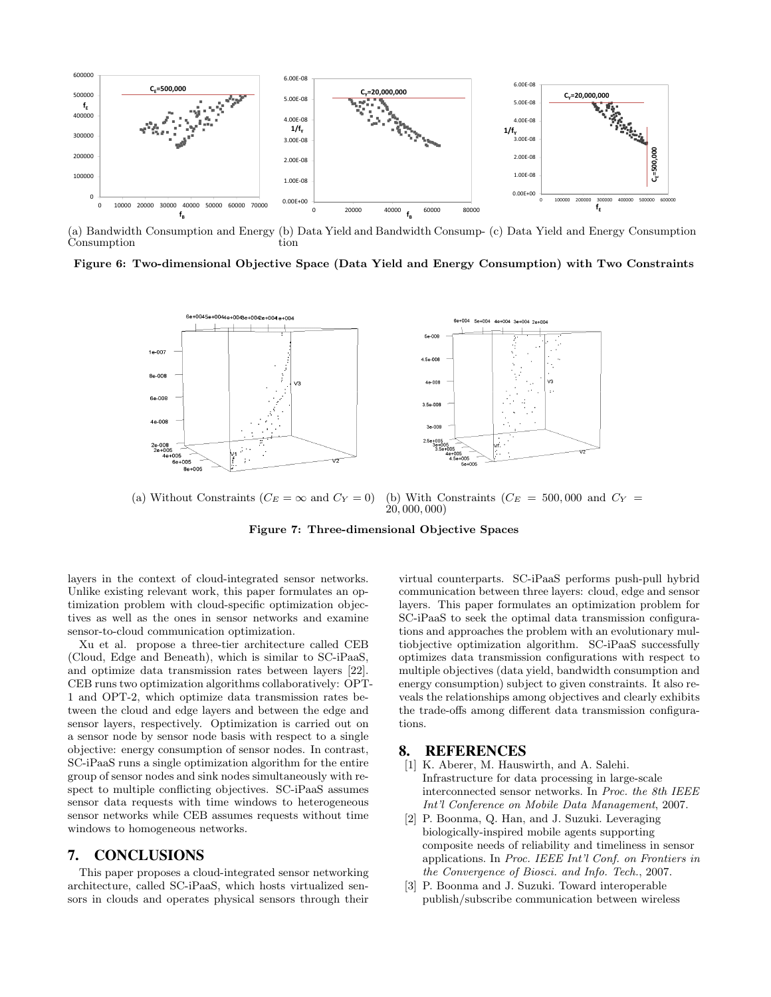

(a) Bandwidth Consumption and Energy (b) Data Yield and Bandwidth Consump-(c) Data Yield and Energy Consumption **Consumption** tion

Figure 6: Two-dimensional Objective Space (Data Yield and Energy Consumption) with Two Constraints



(a) Without Constraints ( $C_E = \infty$  and  $C_Y = 0$ ) (b) With Constraints ( $C_E = 500,000$  and  $C_Y =$ 20, 000, 000)

Figure 7: Three-dimensional Objective Spaces

layers in the context of cloud-integrated sensor networks. Unlike existing relevant work, this paper formulates an optimization problem with cloud-specific optimization objectives as well as the ones in sensor networks and examine sensor-to-cloud communication optimization.

Xu et al. propose a three-tier architecture called CEB (Cloud, Edge and Beneath), which is similar to SC-iPaaS, and optimize data transmission rates between layers [22]. CEB runs two optimization algorithms collaboratively: OPT-1 and OPT-2, which optimize data transmission rates between the cloud and edge layers and between the edge and sensor layers, respectively. Optimization is carried out on a sensor node by sensor node basis with respect to a single objective: energy consumption of sensor nodes. In contrast, SC-iPaaS runs a single optimization algorithm for the entire group of sensor nodes and sink nodes simultaneously with respect to multiple conflicting objectives. SC-iPaaS assumes sensor data requests with time windows to heterogeneous sensor networks while CEB assumes requests without time windows to homogeneous networks.

#### 7. CONCLUSIONS

This paper proposes a cloud-integrated sensor networking architecture, called SC-iPaaS, which hosts virtualized sensors in clouds and operates physical sensors through their virtual counterparts. SC-iPaaS performs push-pull hybrid communication between three layers: cloud, edge and sensor layers. This paper formulates an optimization problem for SC-iPaaS to seek the optimal data transmission configurations and approaches the problem with an evolutionary multiobjective optimization algorithm. SC-iPaaS successfully optimizes data transmission configurations with respect to multiple objectives (data yield, bandwidth consumption and energy consumption) subject to given constraints. It also reveals the relationships among objectives and clearly exhibits the trade-offs among different data transmission configurations.

#### 8. REFERENCES

- [1] K. Aberer, M. Hauswirth, and A. Salehi. Infrastructure for data processing in large-scale interconnected sensor networks. In Proc. the 8th IEEE Int'l Conference on Mobile Data Management, 2007.
- [2] P. Boonma, Q. Han, and J. Suzuki. Leveraging biologically-inspired mobile agents supporting composite needs of reliability and timeliness in sensor applications. In Proc. IEEE Int'l Conf. on Frontiers in the Convergence of Biosci. and Info. Tech., 2007.
- [3] P. Boonma and J. Suzuki. Toward interoperable publish/subscribe communication between wireless